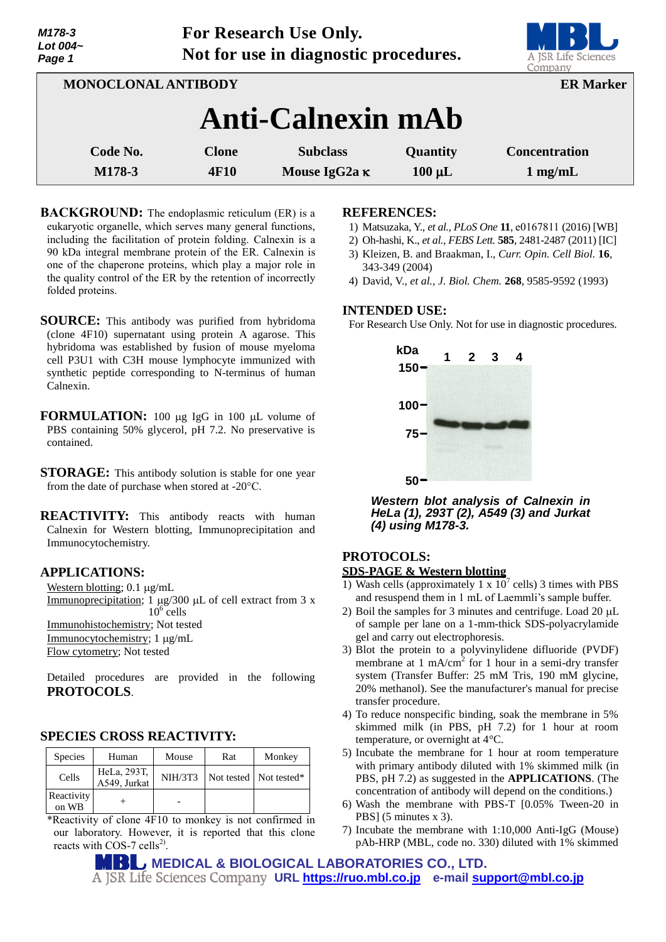| Lot 004~<br>Page 1         | Not for use in diagnostic procedures. |                                         |                         | A JSR Life Sciences<br>Company            |
|----------------------------|---------------------------------------|-----------------------------------------|-------------------------|-------------------------------------------|
| <b>MONOCLONAL ANTIBODY</b> | <b>ER Marker</b>                      |                                         |                         |                                           |
|                            | <b>Anti-Calnexin mAb</b>              |                                         |                         |                                           |
| Code No.<br>M178-3         | <b>Clone</b><br>4F10                  | <b>Subclass</b><br>Mouse IgG2a $\kappa$ | Quantity<br>$100 \mu L$ | <b>Concentration</b><br>$1 \text{ mg/mL}$ |

**For Research Use Only.**

**BACKGROUND:** The endoplasmic reticulum (ER) is a eukaryotic organelle, which serves many general functions, including the facilitation of protein folding. Calnexin is a 90 kDa integral membrane protein of the ER. Calnexin is one of the chaperone proteins, which play a major role in the quality control of the ER by the retention of incorrectly folded proteins.

- **SOURCE:** This antibody was purified from hybridoma (clone 4F10) supernatant using protein A agarose. This hybridoma was established by fusion of mouse myeloma cell P3U1 with C3H mouse lymphocyte immunized with synthetic peptide corresponding to N-terminus of human Calnexin.
- **FORMULATION:** 100 µg IgG in 100 µL volume of PBS containing 50% glycerol, pH 7.2. No preservative is contained.
- **STORAGE:** This antibody solution is stable for one year from the date of purchase when stored at -20°C.
- **REACTIVITY:** This antibody reacts with human Calnexin for Western blotting, Immunoprecipitation and Immunocytochemistry.

## **APPLICATIONS:**

*M178-3*

Western blotting;  $0.1 \mu g/mL$ Immunoprecipitation; 1  $\mu$ g/300  $\mu$ L of cell extract from 3 x  $10^6$  cells Immunohistochemistry; Not tested  $Immunocytochemistry$ ; 1  $\mu$ g/mL Flow cytometry; Not tested

Detailed procedures are provided in the following **PROTOCOLS**.

## **SPECIES CROSS REACTIVITY:**

| <b>Species</b>      | Human                       | Mouse          | Rat | Monkey                   |
|---------------------|-----------------------------|----------------|-----|--------------------------|
| Cells               | HeLa, 293T,<br>A549, Jurkat | <b>NIH/3T3</b> |     | Not tested   Not tested* |
| Reactivity<br>on WB |                             |                |     |                          |

\*Reactivity of clone 4F10 to monkey is not confirmed in our laboratory. However, it is reported that this clone reacts with  $\cos$ -7 cells<sup>2)</sup>.

#### **REFERENCES:**

- 1) Matsuzaka, Y., *et al., PLoS One* **11**, e0167811 (2016) [WB]
- 2) Oh-hashi, K., *et al., FEBS Lett.* **585**, 2481-2487 (2011) [IC]
- 3) Kleizen, B. and Braakman, I., *Curr. Opin. Cell Biol.* **16**, 343-349 (2004)
- 4) David, V., *et al., J. Biol. Chem.* **268**, 9585-9592 (1993)

#### **INTENDED USE:**

For Research Use Only. Not for use in diagnostic procedures.



*Western blot analysis of Calnexin in HeLa (1), 293T (2), A549 (3) and Jurkat (4) using M178-3.*

# **PROTOCOLS:**

# **SDS-PAGE & Western blotting**

- 1) Wash cells (approximately 1 x  $10^7$  cells) 3 times with PBS and resuspend them in 1 mL of Laemmli's sample buffer.
- 2) Boil the samples for 3 minutes and centrifuge. Load  $20 \mu L$ of sample per lane on a 1-mm-thick SDS-polyacrylamide gel and carry out electrophoresis.
- 3) Blot the protein to a polyvinylidene difluoride (PVDF) membrane at 1 mA/cm<sup>2</sup> for 1 hour in a semi-dry transfer system (Transfer Buffer: 25 mM Tris, 190 mM glycine, 20% methanol). See the manufacturer's manual for precise transfer procedure.
- 4) To reduce nonspecific binding, soak the membrane in 5% skimmed milk (in PBS, pH 7.2) for 1 hour at room temperature, or overnight at 4°C.
- 5) Incubate the membrane for 1 hour at room temperature with primary antibody diluted with 1% skimmed milk (in PBS, pH 7.2) as suggested in the **APPLICATIONS**. (The concentration of antibody will depend on the conditions.)
- 6) Wash the membrane with PBS-T [0.05% Tween-20 in PBS] (5 minutes x 3).
- 7) Incubate the membrane with 1:10,000 Anti-IgG (Mouse) pAb-HRP (MBL, code no. 330) diluted with 1% skimmed

**MEDICAL & BIOLOGICAL LABORATORIES CO., LTD. URL [https://ruo.mbl.co.jp](https://ruo.mbl.co.jp/) e-mail [support@mbl.co.jp](mailto:support@mbl.co.jp)**